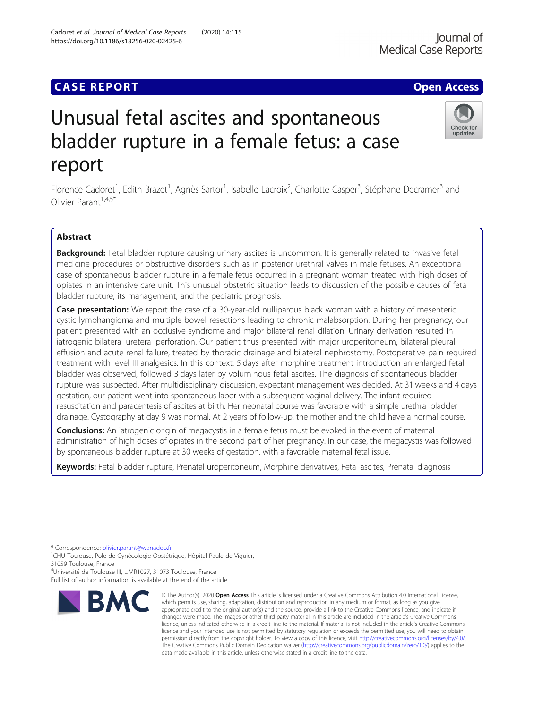# **CASE REPORT CASE ACCESS**

# Unusual fetal ascites and spontaneous bladder rupture in a female fetus: a case report

Florence Cadoret<sup>1</sup>, Edith Brazet<sup>1</sup>, Agnès Sartor<sup>1</sup>, Isabelle Lacroix<sup>2</sup>, Charlotte Casper<sup>3</sup>, Stéphane Decramer<sup>3</sup> and Olivier Parant<sup> $1,4,5*$ </sup>

# Abstract

Background: Fetal bladder rupture causing urinary ascites is uncommon. It is generally related to invasive fetal medicine procedures or obstructive disorders such as in posterior urethral valves in male fetuses. An exceptional case of spontaneous bladder rupture in a female fetus occurred in a pregnant woman treated with high doses of opiates in an intensive care unit. This unusual obstetric situation leads to discussion of the possible causes of fetal bladder rupture, its management, and the pediatric prognosis.

Case presentation: We report the case of a 30-year-old nulliparous black woman with a history of mesenteric cystic lymphangioma and multiple bowel resections leading to chronic malabsorption. During her pregnancy, our patient presented with an occlusive syndrome and major bilateral renal dilation. Urinary derivation resulted in iatrogenic bilateral ureteral perforation. Our patient thus presented with major uroperitoneum, bilateral pleural effusion and acute renal failure, treated by thoracic drainage and bilateral nephrostomy. Postoperative pain required treatment with level III analgesics. In this context, 5 days after morphine treatment introduction an enlarged fetal bladder was observed, followed 3 days later by voluminous fetal ascites. The diagnosis of spontaneous bladder rupture was suspected. After multidisciplinary discussion, expectant management was decided. At 31 weeks and 4 days gestation, our patient went into spontaneous labor with a subsequent vaginal delivery. The infant required resuscitation and paracentesis of ascites at birth. Her neonatal course was favorable with a simple urethral bladder drainage. Cystography at day 9 was normal. At 2 years of follow-up, the mother and the child have a normal course.

**Conclusions:** An iatrogenic origin of megacystis in a female fetus must be evoked in the event of maternal administration of high doses of opiates in the second part of her pregnancy. In our case, the megacystis was followed by spontaneous bladder rupture at 30 weeks of gestation, with a favorable maternal fetal issue.

Keywords: Fetal bladder rupture, Prenatal uroperitoneum, Morphine derivatives, Fetal ascites, Prenatal diagnosis

**BMC** 

\* Correspondence: [olivier.parant@wanadoo.fr](mailto:olivier.parant@wanadoo.fr)<br><sup>1</sup>CHU Toulouse, Pole de Gynécologie Obstétrique, Hôpital Paule de Viguier, 31059 Toulouse, France

4 Université de Toulouse III, UMR1027, 31073 Toulouse, France Full list of author information is available at the end of the article



<sup>©</sup> The Author(s), 2020 **Open Access** This article is licensed under a Creative Commons Attribution 4.0 International License, which permits use, sharing, adaptation, distribution and reproduction in any medium or format, as long as you give appropriate credit to the original author(s) and the source, provide a link to the Creative Commons licence, and indicate if changes were made. The images or other third party material in this article are included in the article's Creative Commons licence, unless indicated otherwise in a credit line to the material. If material is not included in the article's Creative Commons licence and your intended use is not permitted by statutory regulation or exceeds the permitted use, you will need to obtain permission directly from the copyright holder. To view a copy of this licence, visit [http://creativecommons.org/licenses/by/4.0/.](http://creativecommons.org/licenses/by/4.0/) The Creative Commons Public Domain Dedication waiver [\(http://creativecommons.org/publicdomain/zero/1.0/](http://creativecommons.org/publicdomain/zero/1.0/)) applies to the data made available in this article, unless otherwise stated in a credit line to the data.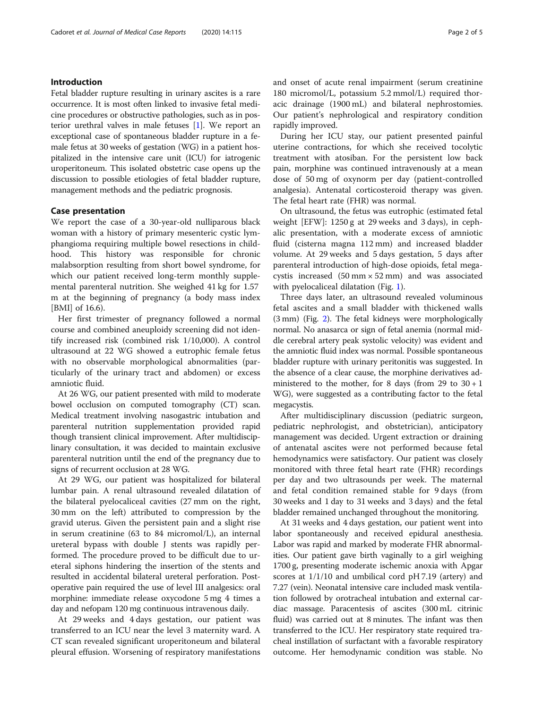# Introduction

Fetal bladder rupture resulting in urinary ascites is a rare occurrence. It is most often linked to invasive fetal medicine procedures or obstructive pathologies, such as in posterior urethral valves in male fetuses [\[1](#page-4-0)]. We report an exceptional case of spontaneous bladder rupture in a female fetus at 30 weeks of gestation (WG) in a patient hospitalized in the intensive care unit (ICU) for iatrogenic uroperitoneum. This isolated obstetric case opens up the discussion to possible etiologies of fetal bladder rupture, management methods and the pediatric prognosis.

### Case presentation

We report the case of a 30-year-old nulliparous black woman with a history of primary mesenteric cystic lymphangioma requiring multiple bowel resections in childhood. This history was responsible for chronic malabsorption resulting from short bowel syndrome, for which our patient received long-term monthly supplemental parenteral nutrition. She weighed 41 kg for 1.57 m at the beginning of pregnancy (a body mass index [BMI] of 16.6).

Her first trimester of pregnancy followed a normal course and combined aneuploidy screening did not identify increased risk (combined risk 1/10,000). A control ultrasound at 22 WG showed a eutrophic female fetus with no observable morphological abnormalities (particularly of the urinary tract and abdomen) or excess amniotic fluid.

At 26 WG, our patient presented with mild to moderate bowel occlusion on computed tomography (CT) scan. Medical treatment involving nasogastric intubation and parenteral nutrition supplementation provided rapid though transient clinical improvement. After multidisciplinary consultation, it was decided to maintain exclusive parenteral nutrition until the end of the pregnancy due to signs of recurrent occlusion at 28 WG.

At 29 WG, our patient was hospitalized for bilateral lumbar pain. A renal ultrasound revealed dilatation of the bilateral pyelocaliceal cavities (27 mm on the right, 30 mm on the left) attributed to compression by the gravid uterus. Given the persistent pain and a slight rise in serum creatinine (63 to 84 micromol/L), an internal ureteral bypass with double J stents was rapidly performed. The procedure proved to be difficult due to ureteral siphons hindering the insertion of the stents and resulted in accidental bilateral ureteral perforation. Postoperative pain required the use of level III analgesics: oral morphine: immediate release oxycodone 5 mg 4 times a day and nefopam 120 mg continuous intravenous daily.

At 29 weeks and 4 days gestation, our patient was transferred to an ICU near the level 3 maternity ward. A CT scan revealed significant uroperitoneum and bilateral pleural effusion. Worsening of respiratory manifestations and onset of acute renal impairment (serum creatinine 180 micromol/L, potassium 5.2 mmol/L) required thoracic drainage (1900 mL) and bilateral nephrostomies. Our patient's nephrological and respiratory condition rapidly improved.

During her ICU stay, our patient presented painful uterine contractions, for which she received tocolytic treatment with atosiban. For the persistent low back pain, morphine was continued intravenously at a mean dose of 50 mg of oxynorm per day (patient-controlled analgesia). Antenatal corticosteroid therapy was given. The fetal heart rate (FHR) was normal.

On ultrasound, the fetus was eutrophic (estimated fetal weight [EFW]: 1250 g at 29 weeks and 3 days), in cephalic presentation, with a moderate excess of amniotic fluid (cisterna magna 112 mm) and increased bladder volume. At 29 weeks and 5 days gestation, 5 days after parenteral introduction of high-dose opioids, fetal megacystis increased  $(50 \text{ mm} \times 52 \text{ mm})$  and was associated with pyelocaliceal dilatation (Fig. [1\)](#page-2-0).

Three days later, an ultrasound revealed voluminous fetal ascites and a small bladder with thickened walls (3 mm) (Fig. [2\)](#page-2-0). The fetal kidneys were morphologically normal. No anasarca or sign of fetal anemia (normal middle cerebral artery peak systolic velocity) was evident and the amniotic fluid index was normal. Possible spontaneous bladder rupture with urinary peritonitis was suggested. In the absence of a clear cause, the morphine derivatives administered to the mother, for 8 days (from 29 to  $30 + 1$ ) WG), were suggested as a contributing factor to the fetal megacystis.

After multidisciplinary discussion (pediatric surgeon, pediatric nephrologist, and obstetrician), anticipatory management was decided. Urgent extraction or draining of antenatal ascites were not performed because fetal hemodynamics were satisfactory. Our patient was closely monitored with three fetal heart rate (FHR) recordings per day and two ultrasounds per week. The maternal and fetal condition remained stable for 9 days (from 30 weeks and 1 day to 31 weeks and 3 days) and the fetal bladder remained unchanged throughout the monitoring.

At 31 weeks and 4 days gestation, our patient went into labor spontaneously and received epidural anesthesia. Labor was rapid and marked by moderate FHR abnormalities. Our patient gave birth vaginally to a girl weighing 1700 g, presenting moderate ischemic anoxia with Apgar scores at 1/1/10 and umbilical cord pH 7.19 (artery) and 7.27 (vein). Neonatal intensive care included mask ventilation followed by orotracheal intubation and external cardiac massage. Paracentesis of ascites (300 mL citrinic fluid) was carried out at 8 minutes. The infant was then transferred to the ICU. Her respiratory state required tracheal instillation of surfactant with a favorable respiratory outcome. Her hemodynamic condition was stable. No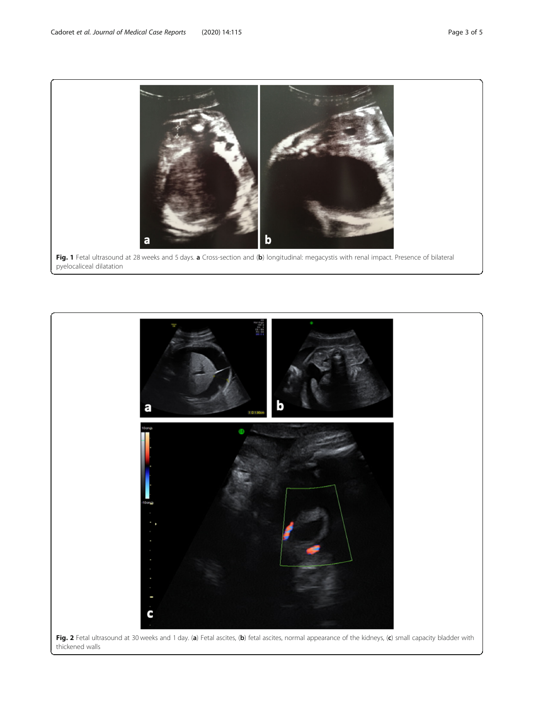<span id="page-2-0"></span>

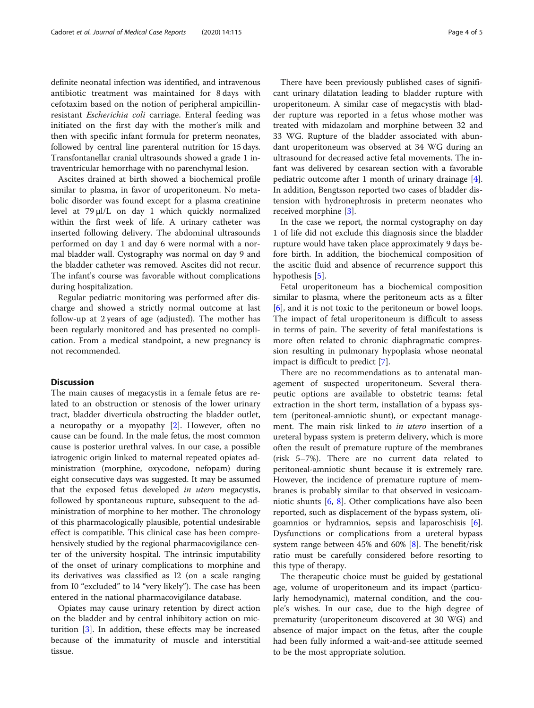definite neonatal infection was identified, and intravenous antibiotic treatment was maintained for 8 days with cefotaxim based on the notion of peripheral ampicillinresistant Escherichia coli carriage. Enteral feeding was initiated on the first day with the mother's milk and then with specific infant formula for preterm neonates, followed by central line parenteral nutrition for 15 days. Transfontanellar cranial ultrasounds showed a grade 1 intraventricular hemorrhage with no parenchymal lesion.

Ascites drained at birth showed a biochemical profile similar to plasma, in favor of uroperitoneum. No metabolic disorder was found except for a plasma creatinine level at 79 μl/L on day 1 which quickly normalized within the first week of life. A urinary catheter was inserted following delivery. The abdominal ultrasounds performed on day 1 and day 6 were normal with a normal bladder wall. Cystography was normal on day 9 and the bladder catheter was removed. Ascites did not recur. The infant's course was favorable without complications during hospitalization.

Regular pediatric monitoring was performed after discharge and showed a strictly normal outcome at last follow-up at 2 years of age (adjusted). The mother has been regularly monitored and has presented no complication. From a medical standpoint, a new pregnancy is not recommended.

# **Discussion**

The main causes of megacystis in a female fetus are related to an obstruction or stenosis of the lower urinary tract, bladder diverticula obstructing the bladder outlet, a neuropathy or a myopathy [[2\]](#page-4-0). However, often no cause can be found. In the male fetus, the most common cause is posterior urethral valves. In our case, a possible iatrogenic origin linked to maternal repeated opiates administration (morphine, oxycodone, nefopam) during eight consecutive days was suggested. It may be assumed that the exposed fetus developed in utero megacystis, followed by spontaneous rupture, subsequent to the administration of morphine to her mother. The chronology of this pharmacologically plausible, potential undesirable effect is compatible. This clinical case has been comprehensively studied by the regional pharmacovigilance center of the university hospital. The intrinsic imputability of the onset of urinary complications to morphine and its derivatives was classified as I2 (on a scale ranging from I0 "excluded" to I4 "very likely"). The case has been entered in the national pharmacovigilance database.

Opiates may cause urinary retention by direct action on the bladder and by central inhibitory action on micturition [[3\]](#page-4-0). In addition, these effects may be increased because of the immaturity of muscle and interstitial tissue.

There have been previously published cases of significant urinary dilatation leading to bladder rupture with uroperitoneum. A similar case of megacystis with bladder rupture was reported in a fetus whose mother was treated with midazolam and morphine between 32 and 33 WG. Rupture of the bladder associated with abundant uroperitoneum was observed at 34 WG during an ultrasound for decreased active fetal movements. The infant was delivered by cesarean section with a favorable pediatric outcome after 1 month of urinary drainage [\[4](#page-4-0)]. In addition, Bengtsson reported two cases of bladder distension with hydronephrosis in preterm neonates who received morphine [\[3](#page-4-0)].

In the case we report, the normal cystography on day 1 of life did not exclude this diagnosis since the bladder rupture would have taken place approximately 9 days before birth. In addition, the biochemical composition of the ascitic fluid and absence of recurrence support this hypothesis [[5\]](#page-4-0).

Fetal uroperitoneum has a biochemical composition similar to plasma, where the peritoneum acts as a filter [[6\]](#page-4-0), and it is not toxic to the peritoneum or bowel loops. The impact of fetal uroperitoneum is difficult to assess in terms of pain. The severity of fetal manifestations is more often related to chronic diaphragmatic compression resulting in pulmonary hypoplasia whose neonatal impact is difficult to predict [\[7](#page-4-0)].

There are no recommendations as to antenatal management of suspected uroperitoneum. Several therapeutic options are available to obstetric teams: fetal extraction in the short term, installation of a bypass system (peritoneal-amniotic shunt), or expectant management. The main risk linked to in utero insertion of a ureteral bypass system is preterm delivery, which is more often the result of premature rupture of the membranes (risk 5–7%). There are no current data related to peritoneal-amniotic shunt because it is extremely rare. However, the incidence of premature rupture of membranes is probably similar to that observed in vesicoamniotic shunts [\[6,](#page-4-0) [8\]](#page-4-0). Other complications have also been reported, such as displacement of the bypass system, oligoamnios or hydramnios, sepsis and laparoschisis [\[6](#page-4-0)]. Dysfunctions or complications from a ureteral bypass system range between 45% and 60%  $[8]$  $[8]$ . The benefit/risk ratio must be carefully considered before resorting to this type of therapy.

The therapeutic choice must be guided by gestational age, volume of uroperitoneum and its impact (particularly hemodynamic), maternal condition, and the couple's wishes. In our case, due to the high degree of prematurity (uroperitoneum discovered at 30 WG) and absence of major impact on the fetus, after the couple had been fully informed a wait-and-see attitude seemed to be the most appropriate solution.